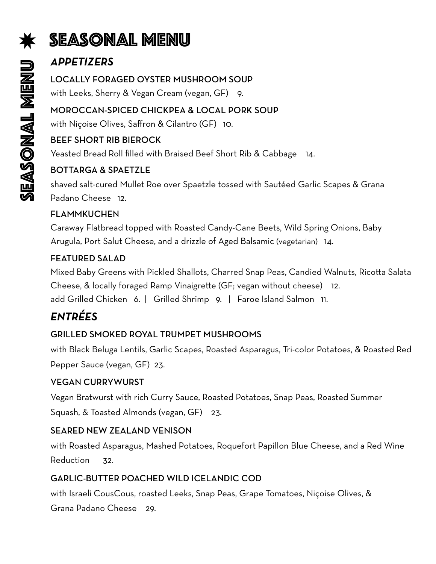# Seasonal menu

# *APPETIZERS*

#### LOCALLY FORAGED OYSTER MUSHROOM SOUP

with Leeks, Sherry & Vegan Cream (vegan, GF) 9.

#### MOROCCAN-SPICED CHICKPEA & LOCAL PORK SOUP

with Niçoise Olives, Saffron & Cilantro (GF) 10.

#### BEEF SHORT RIB BIEROCK

Yeasted Bread Roll filled with Braised Beef Short Rib & Cabbage 14.

#### BOTTARGA & SPAETZLE

shaved salt-cured Mullet Roe over Spaetzle tossed with Sautéed Garlic Scapes & Grana Padano Cheese 12.

#### FLAMMKUCHEN

Caraway Flatbread topped with Roasted Candy-Cane Beets, Wild Spring Onions, Baby Arugula, Port Salut Cheese, and a drizzle of Aged Balsamic (vegetarian) 14.

#### FEATURED SALAD

Mixed Baby Greens with Pickled Shallots, Charred Snap Peas, Candied Walnuts, Ricotta Salata Cheese, & locally foraged Ramp Vinaigrette (GF; vegan without cheese) 12. add Grilled Chicken 6. | Grilled Shrimp 9. | Faroe Island Salmon 11.

# *ENTRÉES*

#### GRILLED SMOKED ROYAL TRUMPET MUSHROOMS

with Black Beluga Lentils, Garlic Scapes, Roasted Asparagus, Tri-color Potatoes, & Roasted Red Pepper Sauce (vegan, GF) 23.

#### VEGAN CURRYWURST

Vegan Bratwurst with rich Curry Sauce, Roasted Potatoes, Snap Peas, Roasted Summer Squash, & Toasted Almonds (vegan, GF) 23.

#### SEARED NEW ZEALAND VENISON

with Roasted Asparagus, Mashed Potatoes, Roquefort Papillon Blue Cheese, and a Red Wine Reduction 32.

#### GARLIC-BUTTER POACHED WILD ICELANDIC COD

with Israeli CousCous, roasted Leeks, Snap Peas, Grape Tomatoes, Niçoise Olives, &

Grana Padano Cheese 29.